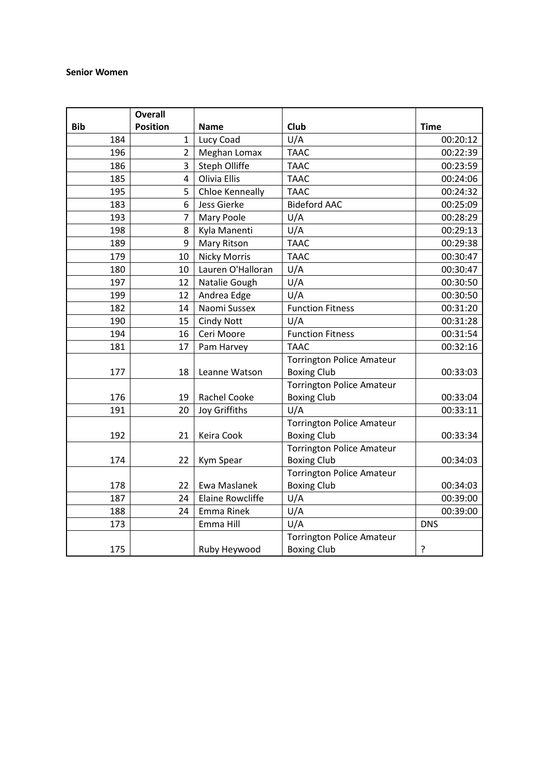#### **Senior Women**

|            | <b>Overall</b>  |                         |                                  |             |
|------------|-----------------|-------------------------|----------------------------------|-------------|
| <b>Bib</b> | <b>Position</b> | <b>Name</b>             | Club                             | <b>Time</b> |
| 184        | 1               | Lucy Coad               | U/A                              | 00:20:12    |
| 196        | $\overline{2}$  | Meghan Lomax            | <b>TAAC</b>                      | 00:22:39    |
| 186        | 3               | Steph Olliffe           | <b>TAAC</b>                      | 00:23:59    |
| 185        | 4               | Olivia Ellis            | <b>TAAC</b>                      | 00:24:06    |
| 195        | 5               | Chloe Kenneally         | <b>TAAC</b>                      | 00:24:32    |
| 183        | 6               | Jess Gierke             | <b>Bideford AAC</b>              | 00:25:09    |
| 193        | 7               | Mary Poole              | U/A                              | 00:28:29    |
| 198        | 8               | Kyla Manenti            | U/A                              | 00:29:13    |
| 189        | 9               | Mary Ritson             | <b>TAAC</b>                      | 00:29:38    |
| 179        | 10              | <b>Nicky Morris</b>     | <b>TAAC</b>                      | 00:30:47    |
| 180        | 10              | Lauren O'Halloran       | U/A                              | 00:30:47    |
| 197        | 12              | Natalie Gough           | U/A                              | 00:30:50    |
| 199        | 12              | Andrea Edge             | U/A                              | 00:30:50    |
| 182        | 14              | Naomi Sussex            | <b>Function Fitness</b>          | 00:31:20    |
| 190        | 15              | <b>Cindy Nott</b>       | U/A                              | 00:31:28    |
| 194        | 16              | Ceri Moore              | <b>Function Fitness</b>          | 00:31:54    |
| 181        | 17              | Pam Harvey              | <b>TAAC</b>                      | 00:32:16    |
|            |                 |                         | <b>Torrington Police Amateur</b> |             |
| 177        | 18              | Leanne Watson           | <b>Boxing Club</b>               | 00:33:03    |
|            |                 |                         | <b>Torrington Police Amateur</b> |             |
| 176        | 19              | Rachel Cooke            | <b>Boxing Club</b>               | 00:33:04    |
| 191        | 20              | Joy Griffiths           | U/A                              | 00:33:11    |
|            |                 |                         | <b>Torrington Police Amateur</b> |             |
| 192        | 21              | Keira Cook              | <b>Boxing Club</b>               | 00:33:34    |
|            |                 |                         | <b>Torrington Police Amateur</b> |             |
| 174        | 22              | Kym Spear               | <b>Boxing Club</b>               | 00:34:03    |
|            |                 |                         | <b>Torrington Police Amateur</b> |             |
| 178        | 22              | Ewa Maslanek            | <b>Boxing Club</b>               | 00:34:03    |
| 187        | 24              | <b>Elaine Rowcliffe</b> | U/A                              | 00:39:00    |
| 188        | 24              | Emma Rinek              | U/A                              | 00:39:00    |
| 173        |                 | Emma Hill               | U/A                              | <b>DNS</b>  |
|            |                 |                         | <b>Torrington Police Amateur</b> |             |
| 175        |                 | Ruby Heywood            | <b>Boxing Club</b>               | ?           |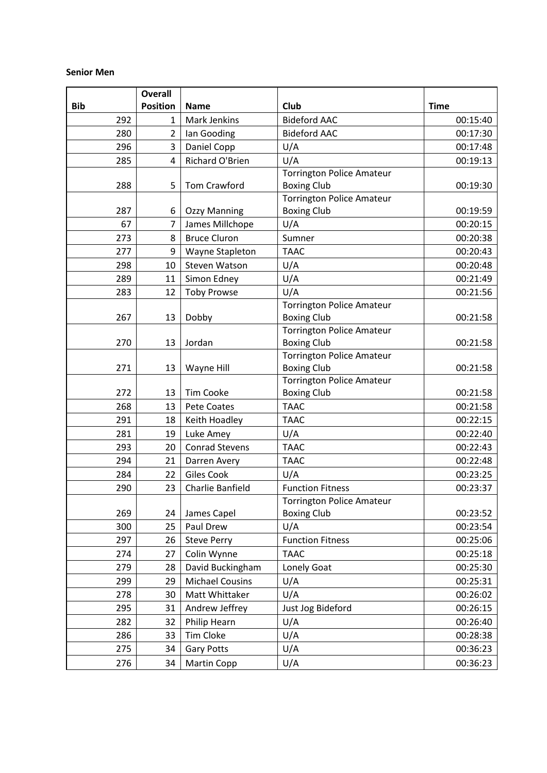### **Senior Men**

|            | <b>Overall</b>  |                        |                                                        |             |
|------------|-----------------|------------------------|--------------------------------------------------------|-------------|
| <b>Bib</b> | <b>Position</b> | <b>Name</b>            | Club                                                   | <b>Time</b> |
| 292        | 1               | Mark Jenkins           | <b>Bideford AAC</b>                                    | 00:15:40    |
| 280        | 2               | lan Gooding            | <b>Bideford AAC</b>                                    | 00:17:30    |
| 296        | 3               | Daniel Copp            | U/A                                                    | 00:17:48    |
| 285        | 4               | Richard O'Brien        | U/A                                                    | 00:19:13    |
|            |                 |                        | <b>Torrington Police Amateur</b>                       |             |
| 288        | 5               | Tom Crawford           | <b>Boxing Club</b>                                     | 00:19:30    |
|            |                 |                        | <b>Torrington Police Amateur</b>                       |             |
| 287        | 6               | <b>Ozzy Manning</b>    | <b>Boxing Club</b>                                     | 00:19:59    |
| 67         | 7               | James Millchope        | U/A                                                    | 00:20:15    |
| 273        | 8               | <b>Bruce Cluron</b>    | Sumner                                                 | 00:20:38    |
| 277        | 9               | Wayne Stapleton        | <b>TAAC</b>                                            | 00:20:43    |
| 298        | 10              | <b>Steven Watson</b>   | U/A                                                    | 00:20:48    |
| 289        | 11              | Simon Edney            | U/A                                                    | 00:21:49    |
| 283        | 12              | <b>Toby Prowse</b>     | U/A                                                    | 00:21:56    |
|            |                 |                        | <b>Torrington Police Amateur</b>                       |             |
| 267        | 13              | Dobby                  | <b>Boxing Club</b>                                     | 00:21:58    |
|            |                 |                        | <b>Torrington Police Amateur</b>                       |             |
| 270        | 13              | Jordan                 | <b>Boxing Club</b>                                     | 00:21:58    |
| 271        | 13              | Wayne Hill             | <b>Torrington Police Amateur</b><br><b>Boxing Club</b> | 00:21:58    |
|            |                 |                        | <b>Torrington Police Amateur</b>                       |             |
| 272        | 13              | <b>Tim Cooke</b>       | <b>Boxing Club</b>                                     | 00:21:58    |
| 268        | 13              | <b>Pete Coates</b>     | <b>TAAC</b>                                            | 00:21:58    |
| 291        | 18              | Keith Hoadley          | <b>TAAC</b>                                            | 00:22:15    |
| 281        | 19              | Luke Amey              | U/A                                                    | 00:22:40    |
| 293        | 20              | <b>Conrad Stevens</b>  | <b>TAAC</b>                                            | 00:22:43    |
| 294        | 21              | Darren Avery           | <b>TAAC</b>                                            | 00:22:48    |
| 284        | 22              | Giles Cook             | U/A                                                    | 00:23:25    |
| 290        | 23              | Charlie Banfield       | <b>Function Fitness</b>                                | 00:23:37    |
|            |                 |                        | <b>Torrington Police Amateur</b>                       |             |
| 269        | 24              | James Capel            | <b>Boxing Club</b>                                     | 00:23:52    |
| 300        | 25              | Paul Drew              | U/A                                                    | 00:23:54    |
| 297        | 26              | <b>Steve Perry</b>     | <b>Function Fitness</b>                                | 00:25:06    |
| 274        | 27              | Colin Wynne            | <b>TAAC</b>                                            | 00:25:18    |
| 279        | 28              | David Buckingham       | Lonely Goat                                            | 00:25:30    |
| 299        | 29              | <b>Michael Cousins</b> | U/A                                                    | 00:25:31    |
| 278        | 30              | Matt Whittaker         | U/A                                                    | 00:26:02    |
| 295        | 31              | Andrew Jeffrey         | Just Jog Bideford                                      | 00:26:15    |
| 282        | 32              | Philip Hearn           | U/A                                                    | 00:26:40    |
| 286        | 33              | Tim Cloke              | U/A                                                    | 00:28:38    |
| 275        | 34              | <b>Gary Potts</b>      | U/A                                                    | 00:36:23    |
| 276        | 34              | Martin Copp            | U/A                                                    | 00:36:23    |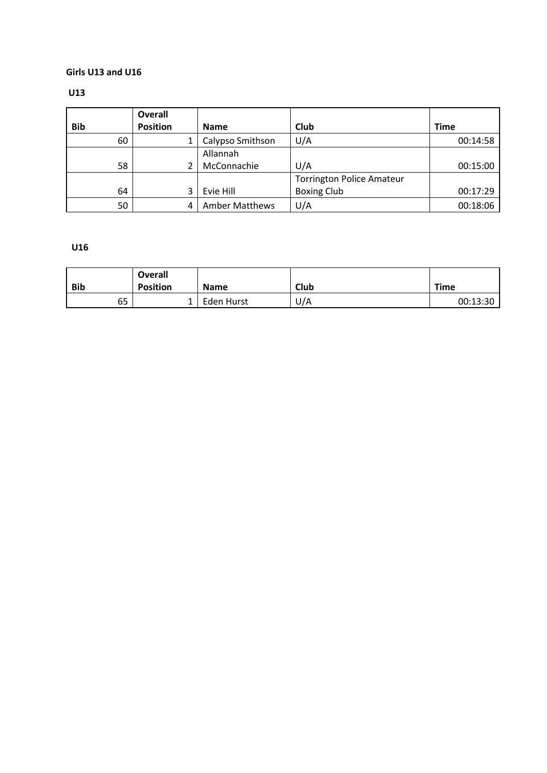## **Girls U13 and U16**

## **U13**

| <b>Bib</b> | <b>Overall</b><br><b>Position</b> | <b>Name</b>           | Club                             | <b>Time</b> |
|------------|-----------------------------------|-----------------------|----------------------------------|-------------|
| 60         |                                   | Calypso Smithson      | U/A                              | 00:14:58    |
|            |                                   | Allannah              |                                  |             |
| 58         |                                   | McConnachie           | U/A                              | 00:15:00    |
|            |                                   |                       | <b>Torrington Police Amateur</b> |             |
| 64         |                                   | Evie Hill             | <b>Boxing Club</b>               | 00:17:29    |
| 50         |                                   | <b>Amber Matthews</b> | U/A                              | 00:18:06    |

# **U16**

|            | <b>Overall</b>  |             |      |             |
|------------|-----------------|-------------|------|-------------|
| <b>Bib</b> | <b>Position</b> | <b>Name</b> | Club | <b>Time</b> |
| 65         |                 | Eden Hurst  | U/A  | 00:13:30    |